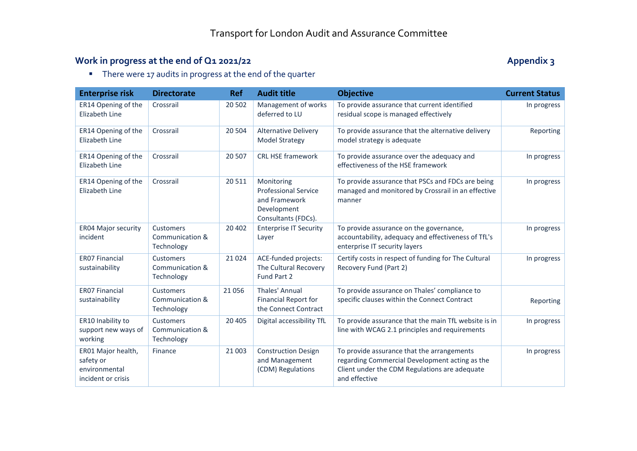## Work in progress at the end of Q1 2021/22 **Appendix 3** Appendix 3

There were 17 audits in progress at the end of the quarter

| <b>Enterprise risk</b>                                                 | <b>Directorate</b>                         | <b>Ref</b> | <b>Audit title</b>                                                                               | <b>Objective</b>                                                                                                                                               | <b>Current Status</b> |
|------------------------------------------------------------------------|--------------------------------------------|------------|--------------------------------------------------------------------------------------------------|----------------------------------------------------------------------------------------------------------------------------------------------------------------|-----------------------|
| ER14 Opening of the<br>Elizabeth Line                                  | Crossrail                                  | 20 502     | Management of works<br>deferred to LU                                                            | To provide assurance that current identified<br>residual scope is managed effectively                                                                          | In progress           |
| ER14 Opening of the<br>Elizabeth Line                                  | Crossrail                                  | 20 504     | <b>Alternative Delivery</b><br><b>Model Strategy</b>                                             | To provide assurance that the alternative delivery<br>model strategy is adequate                                                                               | Reporting             |
| ER14 Opening of the<br>Elizabeth Line                                  | Crossrail                                  | 20 507     | <b>CRL HSE framework</b>                                                                         | To provide assurance over the adequacy and<br>effectiveness of the HSE framework                                                                               | In progress           |
| ER14 Opening of the<br>Elizabeth Line                                  | Crossrail                                  | 20511      | Monitoring<br><b>Professional Service</b><br>and Framework<br>Development<br>Consultants (FDCs). | To provide assurance that PSCs and FDCs are being<br>managed and monitored by Crossrail in an effective<br>manner                                              | In progress           |
| <b>ER04 Major security</b><br>incident                                 | Customers<br>Communication &<br>Technology | 20 40 2    | <b>Enterprise IT Security</b><br>Layer                                                           | To provide assurance on the governance,<br>accountability, adequacy and effectiveness of TfL's<br>enterprise IT security layers                                | In progress           |
| <b>ER07 Financial</b><br>sustainability                                | Customers<br>Communication &<br>Technology | 21 0 24    | ACE-funded projects:<br>The Cultural Recovery<br>Fund Part 2                                     | Certify costs in respect of funding for The Cultural<br>Recovery Fund (Part 2)                                                                                 | In progress           |
| <b>ER07 Financial</b><br>sustainability                                | Customers<br>Communication &<br>Technology | 21 0 56    | Thales' Annual<br><b>Financial Report for</b><br>the Connect Contract                            | To provide assurance on Thales' compliance to<br>specific clauses within the Connect Contract                                                                  | Reporting             |
| ER10 Inability to<br>support new ways of<br>working                    | Customers<br>Communication &<br>Technology | 20 405     | Digital accessibility TfL                                                                        | To provide assurance that the main TfL website is in<br>line with WCAG 2.1 principles and requirements                                                         | In progress           |
| ER01 Major health,<br>safety or<br>environmental<br>incident or crisis | Finance                                    | 21 003     | <b>Construction Design</b><br>and Management<br>(CDM) Regulations                                | To provide assurance that the arrangements<br>regarding Commercial Development acting as the<br>Client under the CDM Regulations are adequate<br>and effective | In progress           |